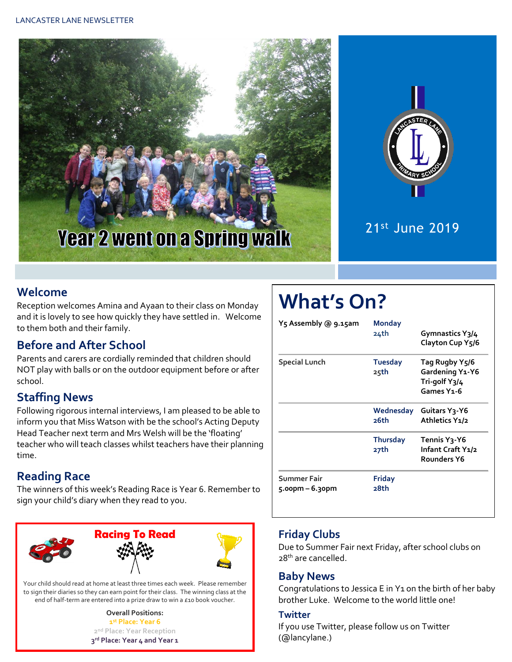



# 21st June 2019

## **Welcome**

Reception welcomes Amina and Ayaan to their class on Monday and it is lovely to see how quickly they have settled in. Welcome to them both and their family.

## **Before and After School**

Parents and carers are cordially reminded that children should NOT play with balls or on the outdoor equipment before or after school.

## **Staffing News**

Following rigorous internal interviews, I am pleased to be able to inform you that Miss Watson with be the school's Acting Deputy Head Teacher next term and Mrs Welsh will be the 'floating' teacher who will teach classes whilst teachers have their planning time.

## **Reading Race**

The winners of this week's Reading Race is Year 6. Remember to sign your child's diary when they read to you.



Your child should read at home at least three times each week. Please remember to sign their diaries so they can earn point for their class. The winning class at the end of half-term are entered into a prize draw to win a £10 book voucher.

> **Overall Positions: st Place: Year 6 nd Place: Year Reception rd Place: Year 4 and Year 1**

# **What's On?**

| Yร Assembly @ 9.1รุลm             | Monday<br>24th          | Gymnastics Y3/4<br>Clayton Cup Y5/6                                          |  |  |
|-----------------------------------|-------------------------|------------------------------------------------------------------------------|--|--|
| <b>Special Lunch</b>              | <b>Tuesday</b><br>25th  | Tag Rugby Y5/6<br>Gardening Y1-Y6<br>Tri-golf Y3/4<br>Games Y <sub>1-6</sub> |  |  |
|                                   | Wednesday<br>26th       | Guitars Y3-Y6<br>Athletics Y1/2                                              |  |  |
|                                   | <b>Thursday</b><br>27th | Tennis Yวุ-Y6<br>Infant Craft Y1/2<br><b>Rounders Y6</b>                     |  |  |
| Summer Fair<br>$5.00$ pm – 6.30pm | Friday<br>28th          |                                                                              |  |  |

## **Friday Clubs**

Due to Summer Fair next Friday, after school clubs on 28<sup>th</sup> are cancelled.

#### **Baby News**

Congratulations to Jessica E in Y1 on the birth of her baby brother Luke. Welcome to the world little one!

#### **Twitter**

If you use Twitter, please follow us on Twitter (@lancylane.)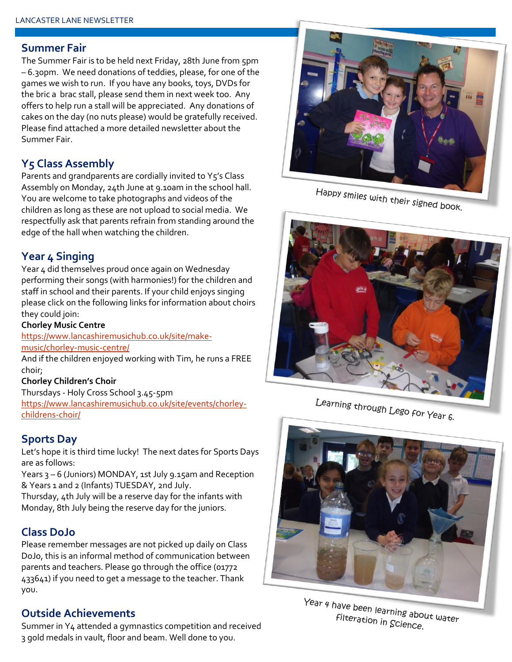#### **Summer Fair**

The Summer Fair is to be held next Friday, 28th June from 5pm – 6.30pm. We need donations of teddies, please, for one of the games we wish to run. If you have any books, toys, DVDs for the bric a brac stall, please send them in next week too. Any offers to help run a stall will be appreciated. Any donations of cakes on the day (no nuts please) would be gratefully received. Please find attached a more detailed newsletter about the Summer Fair.

## **Y5 Class Assembly**

Parents and grandparents are cordially invited to Y5's Class Assembly on Monday, 24th June at 9.10am in the school hall. You are welcome to take photographs and videos of the children as long as these are not upload to social media. We respectfully ask that parents refrain from standing around the edge of the hall when watching the children.

## **Year 4 Singing**

Year 4 did themselves proud once again on Wednesday performing their songs (with harmonies!) for the children and staff in school and their parents. If your child enjoys singing please click on the following links for information about choirs they could join:

#### **Chorley Music Centre**

[https://www.lancashiremusichub.co.uk/site/make](https://www.lancashiremusichub.co.uk/site/make-music/chorley-music-centre/)[music/chorley-music-centre/](https://www.lancashiremusichub.co.uk/site/make-music/chorley-music-centre/)

And if the children enjoyed working with Tim, he runs a FREE choir;

#### **Chorley Children's Choir**

Thursdays - Holy Cross School 3.45-5pm [https://www.lancashiremusichub.co.uk/site/events/chorley](https://www.lancashiremusichub.co.uk/site/events/chorley-childrens-choir/)[childrens-choir/](https://www.lancashiremusichub.co.uk/site/events/chorley-childrens-choir/)

## **Sports Day**

Let's hope it is third time lucky! The next dates for Sports Days are as follows:

Years 3 – 6 (Juniors) MONDAY, 1st July 9.15am and Reception & Years 1 and 2 (Infants) TUESDAY, 2nd July.

Thursday, 4th July will be a reserve day for the infants with Monday, 8th July being the reserve day for the juniors.

## **Class DoJo**

Please remember messages are not picked up daily on Class DoJo, this is an informal method of communication between parents and teachers. Please go through the office (01772 433641) if you need to get a message to the teacher. Thank you.

## **Outside Achievements**

Happy smiles with their signed book.



Learning through Lego for Year 6.



Year 4 have been learning about water Filteration in Science.

Summer in Y4 attended a gymnastics competition and received 3 gold medals in vault, floor and beam. Well done to you.